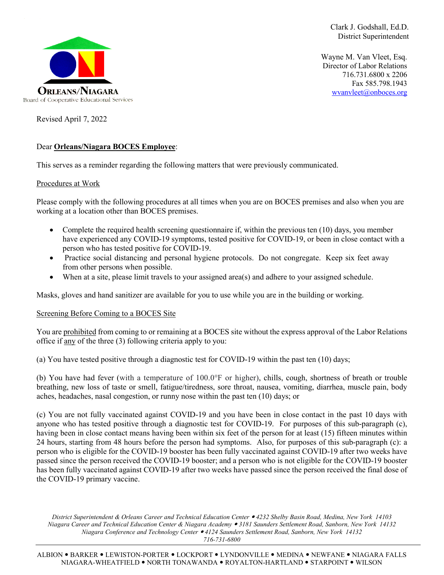

Clark J. Godshall, Ed.D. District Superintendent

Wayne M. Van Vleet, Esq. Director of Labor Relations 716.731.6800 x 2206 Fax 585.798.1943 [wvanvleet@onboces.org](mailto:wvanvleet@onboces.org)

Revised April 7, 2022

## Dear **Orleans/Niagara BOCES Employee**:

This serves as a reminder regarding the following matters that were previously communicated.

### Procedures at Work

Please comply with the following procedures at all times when you are on BOCES premises and also when you are working at a location other than BOCES premises.

- Complete the required health screening questionnaire if, within the previous ten (10) days, you member have experienced any COVID-19 symptoms, tested positive for COVID-19, or been in close contact with a person who has tested positive for COVID-19.
- Practice social distancing and personal hygiene protocols. Do not congregate. Keep six feet away from other persons when possible.
- When at a site, please limit travels to your assigned area(s) and adhere to your assigned schedule.

Masks, gloves and hand sanitizer are available for you to use while you are in the building or working.

# Screening Before Coming to a BOCES Site

You are prohibited from coming to or remaining at a BOCES site without the express approval of the Labor Relations office if any of the three (3) following criteria apply to you:

(a) You have tested positive through a diagnostic test for COVID-19 within the past ten (10) days;

(b) You have had fever (with a temperature of 100.0°F or higher), chills, cough, shortness of breath or trouble breathing, new loss of taste or smell, fatigue/tiredness, sore throat, nausea, vomiting, diarrhea, muscle pain, body aches, headaches, nasal congestion, or runny nose within the past ten (10) days; or

(c) You are not fully vaccinated against COVID-19 and you have been in close contact in the past 10 days with anyone who has tested positive through a diagnostic test for COVID-19. For purposes of this sub-paragraph (c), having been in close contact means having been within six feet of the person for at least (15) fifteen minutes within 24 hours, starting from 48 hours before the person had symptoms. Also, for purposes of this sub-paragraph (c): a person who is eligible for the COVID-19 booster has been fully vaccinated against COVID-19 after two weeks have passed since the person received the COVID-19 booster; and a person who is not eligible for the COVID-19 booster has been fully vaccinated against COVID-19 after two weeks have passed since the person received the final dose of the COVID-19 primary vaccine.

*District Superintendent & Orleans Career and Technical Education Center 4232 Shelby Basin Road, Medina, New York 14103 Niagara Career and Technical Education Center & Niagara Academy 3181 Saunders Settlement Road, Sanborn, New York 14132 Niagara Conference and Technology Center 4124 Saunders Settlement Road, Sanborn, New York 14132 716-731-6800*